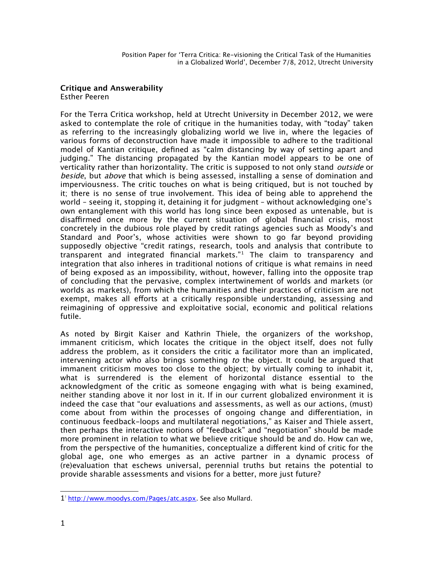## **Critique and Answerability**

Esther Peeren

For the Terra Critica workshop, held at Utrecht University in December 2012, we were asked to contemplate the role of critique in the humanities today, with "today" taken as referring to the increasingly globalizing world we live in, where the legacies of various forms of deconstruction have made it impossible to adhere to the traditional model of Kantian critique, defned as "calm distancing by way of setting apart and judging." The distancing propagated by the Kantian model appears to be one of verticality rather than horizontality. The critic is supposed to not only stand *outside* or beside, but above that which is being assessed, installing a sense of domination and imperviousness. The critic touches on what is being critiqued, but is not touched by it; there is no sense of true involvement. This idea of being able to apprehend the world – seeing it, stopping it, detaining it for judgment – without acknowledging one's own entanglement with this world has long since been exposed as untenable, but is disafrmed once more by the current situation of global fnancial crisis, most concretely in the dubious role played by credit ratings agencies such as Moody's and Standard and Poor's, whose activities were shown to go far beyond providing supposedly objective "credit ratings, research, tools and analysis that contribute to transparent and integrated financial markets."<sup>[1](#page-0-0)</sup> The claim to transparency and integration that also inheres in traditional notions of critique is what remains in need of being exposed as an impossibility, without, however, falling into the opposite trap of concluding that the pervasive, complex intertwinement of worlds and markets (or worlds as markets), from which the humanities and their practices of criticism are not exempt, makes all eforts at a critically responsible understanding, assessing and reimagining of oppressive and exploitative social, economic and political relations futile.

As noted by Birgit Kaiser and Kathrin Thiele, the organizers of the workshop, immanent criticism, which locates the critique in the object itself, does not fully address the problem, as it considers the critic a facilitator more than an implicated, intervening actor who also brings something to the object. It could be argued that immanent criticism moves too close to the object; by virtually coming to inhabit it, what is surrendered is the element of horizontal distance essential to the acknowledgment of the critic as someone engaging with what is being examined, neither standing above it nor lost in it. If in our current globalized environment it is indeed the case that "our evaluations and assessments, as well as our actions, (must) come about from within the processes of ongoing change and diferentiation, in continuous feedback-loops and multilateral negotiations," as Kaiser and Thiele assert, then perhaps the interactive notions of "feedback" and "negotiation" should be made more prominent in relation to what we believe critique should be and do. How can we, from the perspective of the humanities, conceptualize a diferent kind of critic for the global age, one who emerges as an active partner in a dynamic process of (re)evaluation that eschews universal, perennial truths but retains the potential to provide sharable assessments and visions for a better, more just future?

<span id="page-0-0"></span><sup>1&</sup>lt;sup>'</sup> [http://www.moodys.com/Pages/atc.aspx.](http://www.moodys.com/Pages/atc.aspx) See also Mullard.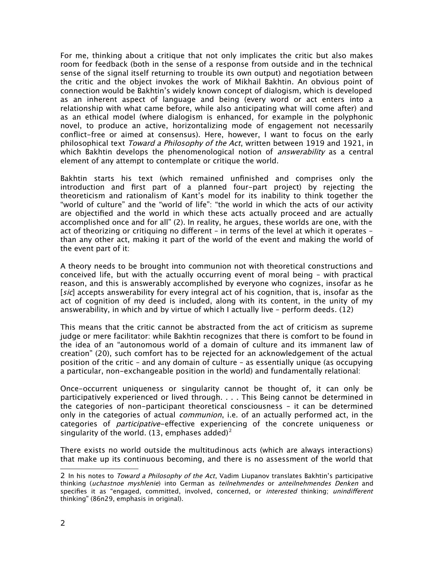For me, thinking about a critique that not only implicates the critic but also makes room for feedback (both in the sense of a response from outside and in the technical sense of the signal itself returning to trouble its own output) and negotiation between the critic and the object invokes the work of Mikhail Bakhtin. An obvious point of connection would be Bakhtin's widely known concept of dialogism, which is developed as an inherent aspect of language and being (every word or act enters into a relationship with what came before, while also anticipating what will come after) and as an ethical model (where dialogism is enhanced, for example in the polyphonic novel, to produce an active, horizontalizing mode of engagement not necessarily confict-free or aimed at consensus). Here, however, I want to focus on the early philosophical text Toward a Philosophy of the Act, written between 1919 and 1921, in which Bakhtin develops the phenomenological notion of *answerability* as a central element of any attempt to contemplate or critique the world.

Bakhtin starts his text (which remained unfnished and comprises only the introduction and frst part of a planned four-part project) by rejecting the theoreticism and rationalism of Kant's model for its inability to think together the "world of culture" and the "world of life": "the world in which the acts of our activity are objectifed and the world in which these acts actually proceed and are actually accomplished once and for all" (2). In reality, he argues, these worlds are one, with the act of theorizing or critiquing no diferent – in terms of the level at which it operates – than any other act, making it part of the world of the event and making the world of the event part of it:

A theory needs to be brought into communion not with theoretical constructions and conceived life, but with the actually occurring event of moral being – with practical reason, and this is answerably accomplished by everyone who cognizes, insofar as he [sic] accepts answerability for every integral act of his cognition, that is, insofar as the act of cognition of my deed is included, along with its content, in the unity of my answerability, in which and by virtue of which I actually live – perform deeds. (12)

This means that the critic cannot be abstracted from the act of criticism as supreme judge or mere facilitator: while Bakhtin recognizes that there is comfort to be found in the idea of an "autonomous world of a domain of culture and its immanent law of creation" (20), such comfort has to be rejected for an acknowledgement of the actual position of the critic – and any domain of culture – as essentially unique (as occupying a particular, non-exchangeable position in the world) and fundamentally relational:

Once-occurrent uniqueness or singularity cannot be thought of, it can only be participatively experienced or lived through. . . . This Being cannot be determined in the categories of non-participant theoretical consciousness – it can be determined only in the categories of actual *communion*, i.e. of an actually performed act, in the categories of *participative*-effective experiencing of the concrete uniqueness or singularity of the world. (13, emphases added)<sup>[2](#page-1-0)</sup>

There exists no world outside the multitudinous acts (which are always interactions) that make up its continuous becoming, and there is no assessment of the world that

<span id="page-1-0"></span><sup>2</sup> In his notes to Toward a Philosophy of the Act, Vadim Liupanov translates Bakhtin's participative thinking (*uchastnoe myshlenie*) into German as *teilnehmendes* or *anteilnehmendes Denken* and specifies it as "engaged, committed, involved, concerned, or interested thinking; unindifferent thinking" (86n29, emphasis in original).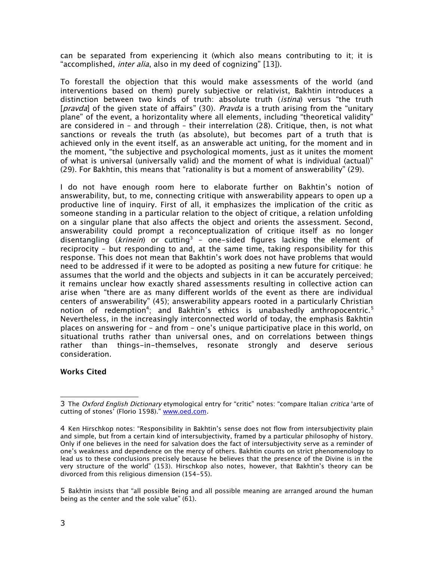can be separated from experiencing it (which also means contributing to it; it is "accomplished, *inter alia*, also in my deed of cognizing" [13]).

To forestall the objection that this would make assessments of the world (and interventions based on them) purely subjective or relativist, Bakhtin introduces a distinction between two kinds of truth: absolute truth (istina) versus "the truth [*pravda*] of the given state of affairs" (30). *Pravda* is a truth arising from the "unitary plane" of the event, a horizontality where all elements, including "theoretical validity" are considered in – and through – their interrelation (28). Critique, then, is not what sanctions or reveals the truth (as absolute), but becomes part of a truth that is achieved only in the event itself, as an answerable act uniting, for the moment and in the moment, "the subjective and psychological moments, just as it unites the moment of what is universal (universally valid) and the moment of what is individual (actual)" (29). For Bakhtin, this means that "rationality is but a moment of answerability" (29).

I do not have enough room here to elaborate further on Bakhtin's notion of answerability, but, to me, connecting critique with answerability appears to open up a productive line of inquiry. First of all, it emphasizes the implication of the critic as someone standing in a particular relation to the object of critique, a relation unfolding on a singular plane that also afects the object and orients the assessment. Second, answerability could prompt a reconceptualization of critique itself as no longer disentangling (*krinein*) or cutting<sup>[3](#page-2-0)</sup> - one-sided figures lacking the element of reciprocity – but responding to and, at the same time, taking responsibility for this response. This does not mean that Bakhtin's work does not have problems that would need to be addressed if it were to be adopted as positing a new future for critique: he assumes that the world and the objects and subjects in it can be accurately perceived; it remains unclear how exactly shared assessments resulting in collective action can arise when "there are as many diferent worlds of the event as there are individual centers of answerability" (45); answerability appears rooted in a particularly Christian notion of redemption<sup>[4](#page-2-1)</sup>; and Bakhtin's ethics is unabashedly anthropocentric.<sup>[5](#page-2-2)</sup> Nevertheless, in the increasingly interconnected world of today, the emphasis Bakhtin places on answering for – and from – one's unique participative place in this world, on situational truths rather than universal ones, and on correlations between things rather than things-in-themselves, resonate strongly and deserve serious consideration.

## **Works Cited**

<span id="page-2-0"></span><sup>3</sup> The Oxford English Dictionary etymological entry for "critic" notes: "compare Italian critica 'arte of cutting of stones' (Florio 1598)." [www.oed.com.](http://www.oed.com/)

<span id="page-2-1"></span><sup>4</sup> Ken Hirschkop notes: "Responsibility in Bakhtin's sense does not fow from intersubjectivity plain and simple, but from a certain kind of intersubjectivity, framed by a particular philosophy of history. Only if one believes in the need for salvation does the fact of intersubjectivity serve as a reminder of one's weakness and dependence on the mercy of others. Bakhtin counts on strict phenomenology to lead us to these conclusions precisely because he believes that the presence of the Divine is in the very structure of the world" (153). Hirschkop also notes, however, that Bakhtin's theory can be divorced from this religious dimension (154-55).

<span id="page-2-2"></span><sup>5</sup> Bakhtin insists that "all possible Being and all possible meaning are arranged around the human being as the center and the sole value" (61).